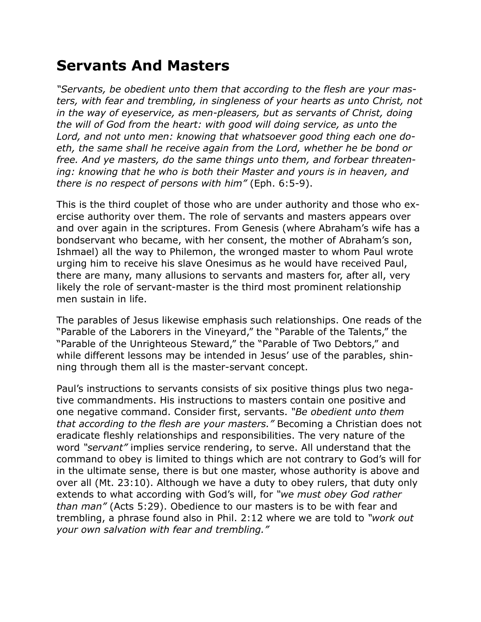## **Servants And Masters**

*"Servants, be obedient unto them that according to the flesh are your masters, with fear and trembling, in singleness of your hearts as unto Christ, not in the way of eyeservice, as men-pleasers, but as servants of Christ, doing the will of God from the heart: with good will doing service, as unto the Lord, and not unto men: knowing that whatsoever good thing each one doeth, the same shall he receive again from the Lord, whether he be bond or free. And ye masters, do the same things unto them, and forbear threatening: knowing that he who is both their Master and yours is in heaven, and there is no respect of persons with him"* (Eph. 6:5-9).

This is the third couplet of those who are under authority and those who exercise authority over them. The role of servants and masters appears over and over again in the scriptures. From Genesis (where Abraham's wife has a bondservant who became, with her consent, the mother of Abraham's son, Ishmael) all the way to Philemon, the wronged master to whom Paul wrote urging him to receive his slave Onesimus as he would have received Paul, there are many, many allusions to servants and masters for, after all, very likely the role of servant-master is the third most prominent relationship men sustain in life.

The parables of Jesus likewise emphasis such relationships. One reads of the "Parable of the Laborers in the Vineyard," the "Parable of the Talents," the "Parable of the Unrighteous Steward," the "Parable of Two Debtors," and while different lessons may be intended in Jesus' use of the parables, shinning through them all is the master-servant concept.

Paul's instructions to servants consists of six positive things plus two negative commandments. His instructions to masters contain one positive and one negative command. Consider first, servants. *"Be obedient unto them that according to the flesh are your masters."* Becoming a Christian does not eradicate fleshly relationships and responsibilities. The very nature of the word *"servant"* implies service rendering, to serve. All understand that the command to obey is limited to things which are not contrary to God's will for in the ultimate sense, there is but one master, whose authority is above and over all (Mt. 23:10). Although we have a duty to obey rulers, that duty only extends to what according with God's will, for *"we must obey God rather than man"* (Acts 5:29). Obedience to our masters is to be with fear and trembling, a phrase found also in Phil. 2:12 where we are told to *"work out your own salvation with fear and trembling."*